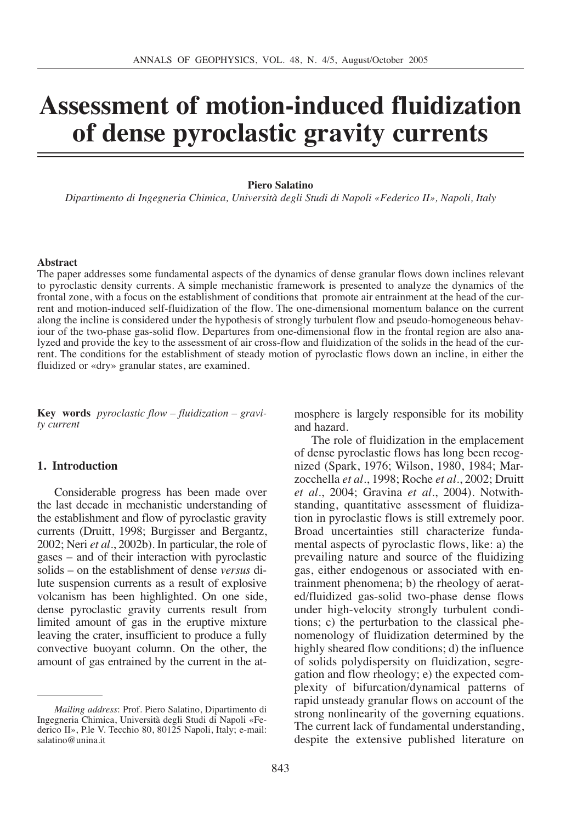# **Assessment of motion-induced fluidization of dense pyroclastic gravity currents**

#### **Piero Salatino**

*Dipartimento di Ingegneria Chimica, Università degli Studi di Napoli «Federico II», Napoli, Italy*

#### **Abstract**

The paper addresses some fundamental aspects of the dynamics of dense granular flows down inclines relevant to pyroclastic density currents. A simple mechanistic framework is presented to analyze the dynamics of the frontal zone, with a focus on the establishment of conditions that promote air entrainment at the head of the current and motion-induced self-fluidization of the flow. The one-dimensional momentum balance on the current along the incline is considered under the hypothesis of strongly turbulent flow and pseudo-homogeneous behaviour of the two-phase gas-solid flow. Departures from one-dimensional flow in the frontal region are also analyzed and provide the key to the assessment of air cross-flow and fluidization of the solids in the head of the current. The conditions for the establishment of steady motion of pyroclastic flows down an incline, in either the fluidized or «dry» granular states, are examined.

**Key words** *pyroclastic flow – fluidization – gravity current*

#### **1. Introduction**

Considerable progress has been made over the last decade in mechanistic understanding of the establishment and flow of pyroclastic gravity currents (Druitt, 1998; Burgisser and Bergantz, 2002; Neri *et al.*, 2002b). In particular, the role of gases – and of their interaction with pyroclastic solids – on the establishment of dense *versus* dilute suspension currents as a result of explosive volcanism has been highlighted. On one side, dense pyroclastic gravity currents result from limited amount of gas in the eruptive mixture leaving the crater, insufficient to produce a fully convective buoyant column. On the other, the amount of gas entrained by the current in the atmosphere is largely responsible for its mobility and hazard.

The role of fluidization in the emplacement of dense pyroclastic flows has long been recognized (Spark, 1976; Wilson, 1980, 1984; Marzocchella *et al.*, 1998; Roche *et al.*, 2002; Druitt *et al.*, 2004; Gravina *et al.*, 2004). Notwithstanding, quantitative assessment of fluidization in pyroclastic flows is still extremely poor. Broad uncertainties still characterize fundamental aspects of pyroclastic flows, like: a) the prevailing nature and source of the fluidizing gas, either endogenous or associated with entrainment phenomena; b) the rheology of aerated/fluidized gas-solid two-phase dense flows under high-velocity strongly turbulent conditions; c) the perturbation to the classical phenomenology of fluidization determined by the highly sheared flow conditions; d) the influence of solids polydispersity on fluidization, segregation and flow rheology; e) the expected complexity of bifurcation/dynamical patterns of rapid unsteady granular flows on account of the strong nonlinearity of the governing equations. The current lack of fundamental understanding, despite the extensive published literature on

*Mailing address*: Prof. Piero Salatino, Dipartimento di Ingegneria Chimica, Università degli Studi di Napoli «Federico II», P.le V. Tecchio 80, 80125 Napoli, Italy; e-mail: salatino@unina.it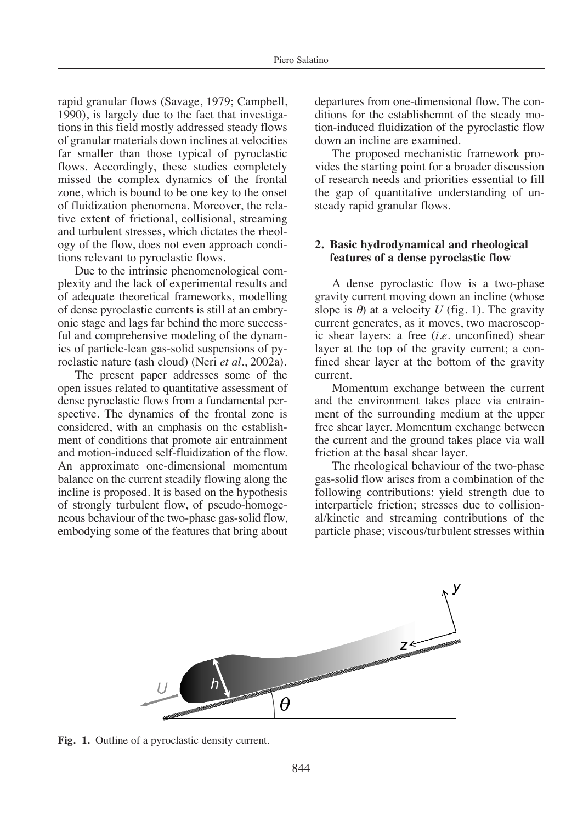rapid granular flows (Savage, 1979; Campbell, 1990), is largely due to the fact that investigations in this field mostly addressed steady flows of granular materials down inclines at velocities far smaller than those typical of pyroclastic flows. Accordingly, these studies completely missed the complex dynamics of the frontal zone, which is bound to be one key to the onset of fluidization phenomena. Moreover, the relative extent of frictional, collisional, streaming and turbulent stresses, which dictates the rheology of the flow, does not even approach conditions relevant to pyroclastic flows.

Due to the intrinsic phenomenological complexity and the lack of experimental results and of adequate theoretical frameworks, modelling of dense pyroclastic currents is still at an embryonic stage and lags far behind the more successful and comprehensive modeling of the dynamics of particle-lean gas-solid suspensions of pyroclastic nature (ash cloud) (Neri *et al.*, 2002a).

The present paper addresses some of the open issues related to quantitative assessment of dense pyroclastic flows from a fundamental perspective. The dynamics of the frontal zone is considered, with an emphasis on the establishment of conditions that promote air entrainment and motion-induced self-fluidization of the flow. An approximate one-dimensional momentum balance on the current steadily flowing along the incline is proposed. It is based on the hypothesis of strongly turbulent flow, of pseudo-homogeneous behaviour of the two-phase gas-solid flow, embodying some of the features that bring about departures from one-dimensional flow. The conditions for the establishemnt of the steady motion-induced fluidization of the pyroclastic flow down an incline are examined.

The proposed mechanistic framework provides the starting point for a broader discussion of research needs and priorities essential to fill the gap of quantitative understanding of unsteady rapid granular flows.

## **2. Basic hydrodynamical and rheological features of a dense pyroclastic flow**

A dense pyroclastic flow is a two-phase gravity current moving down an incline (whose slope is  $\theta$ ) at a velocity *U* (fig. 1). The gravity current generates, as it moves, two macroscopic shear layers: a free (*i.e.* unconfined) shear layer at the top of the gravity current; a confined shear layer at the bottom of the gravity current.

Momentum exchange between the current and the environment takes place via entrainment of the surrounding medium at the upper free shear layer. Momentum exchange between the current and the ground takes place via wall friction at the basal shear layer.

The rheological behaviour of the two-phase gas-solid flow arises from a combination of the following contributions: yield strength due to interparticle friction; stresses due to collisional/kinetic and streaming contributions of the particle phase; viscous/turbulent stresses within



**Fig. 1.** Outline of a pyroclastic density current.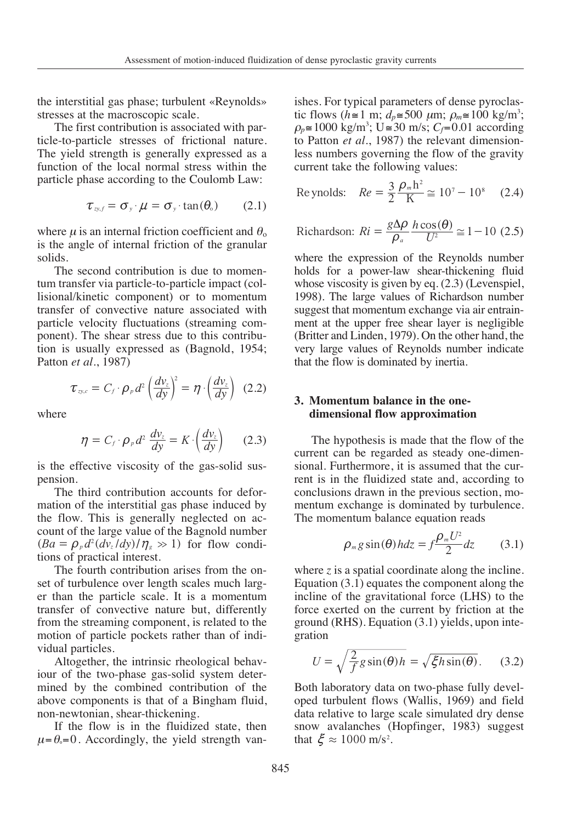the interstitial gas phase; turbulent «Reynolds» stresses at the macroscopic scale.

The first contribution is associated with particle-to-particle stresses of frictional nature. The yield strength is generally expressed as a function of the local normal stress within the particle phase according to the Coulomb Law:

$$
\tau_{\nu,f} = \sigma_{\nu} \cdot \mu = \sigma_{\nu} \cdot \tan(\theta_{\circ}) \qquad (2.1)
$$

where  $\mu$  is an internal friction coefficient and  $\theta_0$ is the angle of internal friction of the granular solids.

The second contribution is due to momentum transfer via particle-to-particle impact (collisional/kinetic component) or to momentum transfer of convective nature associated with particle velocity fluctuations (streaming component). The shear stress due to this contribution is usually expressed as (Bagnold, 1954; Patton *et al.*, 1987) shear stress<br>y expressed<br>1987)<br>*C<sub>f</sub>* ·  $\rho_p d^2 \left(\frac{d}{d}\right)$ <br>*C<sub>f</sub>* ·  $\rho_p d^2 \frac{dv}{dy}$ <br>ve viscosity recond contribution is due to<br>*des fer* via particle-to-particle implinetic component) or to most<br>of convective nature associal<br>velocity fluctuations (streaming The shear stress due to this<br>sually expressed as (Bagnol<br> second contribution is due to sfer via particle-to-particle imp<br>sinetic component) or to mo<br>of convective nature associated<br>velocity fluctuations (streamin<br>The shear stress due to this c<br>usually expressed as (Bagnolc<br>*t a* erstitial gas phase; turbulent «Rey<br>s at the macroscopic scale.<br>Prist contribution is associated wi-<br>particle stresses of frictional in<br>eld strength is generally expresses<br>on of the local normal stress with<br>Phase accordin

$$
\tau_{\infty,c}=C_f\cdot\rho_p d^2\left(\frac{dv_z}{dy}\right)^2=\eta\cdot\left(\frac{dv_z}{dy}\right)\ (2.2)
$$

where

$$
\eta = C_f \cdot \rho_p d^2 \frac{dv_z}{dy} = K \cdot \left(\frac{dv_z}{dy}\right) \qquad (2.3)
$$

is the effective viscosity of the gas-solid suspension.

The third contribution accounts for deformation of the interstitial gas phase induced by the flow. This is generally neglected on account of the large value of the Bagnold number  $(Ba = \rho_p d^2 (dv_z/dy)/\eta_s \gg 1)$  for flow conditions of practical interest.  $\eta = C_f \cdot \rho_p d^2 \frac{d\ell_z}{dy} =$ <br>is the effective viscosity of the<br>pension.<br>The third contribution ac<br>mation of the interstitial gas<br>the flow. This is generally<br>count of the large value of the<br> $(Ba = \rho_p d^2 (dv_z/dy)/\eta_s \gg 1)$ <br>tions of

The fourth contribution arises from the onset of turbulence over length scales much larger than the particle scale. It is a momentum transfer of convective nature but, differently from the streaming component, is related to the motion of particle pockets rather than of individual particles.

Altogether, the intrinsic rheological behaviour of the two-phase gas-solid system determined by the combined contribution of the above components is that of a Bingham fluid, non-newtonian, shear-thickening.

If the flow is in the fluidized state, then  $\mu = \theta = 0$ . Accordingly, the yield strength vanishes. For typical parameters of dense pyroclastic flows ( $h \approx 1$  m;  $d_p \approx 500 \mu$ m;  $\rho_m \approx 100 \text{ kg/m}^3$ ;  $\rho_p$  ≅ 1000 kg/m<sup>3</sup>; U ≅ 30 m/s; *C<sub>f</sub>*=0.01 according to Patton *et al.*, 1987) the relevant dimensionless numbers governing the flow of the gravity current take the following values: ishes. For typical parameters of dense pyr<br>ic flows  $(h \approx 1 \text{ m}; d_p \approx 500 \mu \text{m}; \rho_m \approx 100 \text{ kg/s}$ <br> $\rho_p \approx 1000 \text{ kg/m}^3$ ;  $U \approx 30 \text{ m/s}; C_f = 0.01 \text{ acc}$ <br>io Patton *et al.*, 1987) the relevant dimen<br>less numbers governing the flow vity currents<br>
arameters of dense p<br>  $d_p \equiv 500 \mu m; \ \rho_m \equiv 10$ <br>  $\equiv 30 \text{ m/s}; \ C_f = 0.01 \text{ a}$ <br>
87) the relevant din<br>
ming the flow of the<br>
lowing values:<br>  $\frac{3}{2} \frac{\rho_m h^2}{K} \approx 10^7 - 10$ <br>  $\frac{g \Delta \rho}{\rho} \frac{h \cos(\theta)}{L^2} \approx 1$ gravity currents<br>
1 parameters of dense p<br>
1;  $d_p \approx 500 \mu m$ ;  $\rho_m \approx 100$ <br>
U  $\approx 30$  m/s;  $C_f = 0.01$  at<br>
1987) the relevant din<br>
verning the flow of the<br>
following values:<br>  $= \frac{3}{2} \frac{\rho_m h^2}{K} \approx 10^7 - 10^8$ <br>  $= \frac{8\Delta \rho}{\rho$ 

Reynolds: 
$$
Re = \frac{3}{2} \frac{\rho_m h^2}{K} \approx 10^7 - 10^8
$$
 (2.4)

Richardson: 
$$
Ri = \frac{g\Delta\rho}{\rho_a} \frac{h\cos(\theta)}{U^2} \approx 1 - 10
$$
 (2.5)

where the expression of the Reynolds number holds for a power-law shear-thickening fluid whose viscosity is given by eq.  $(2.3)$  (Levenspiel, 1998). The large values of Richardson number suggest that momentum exchange via air entrainment at the upper free shear layer is negligible (Britter and Linden, 1979). On the other hand, the very large values of Reynolds number indicate that the flow is dominated by inertia.

# **3. Momentum balance in the onedimensional flow approximation**

The hypothesis is made that the flow of the current can be regarded as steady one-dimensional. Furthermore, it is assumed that the current is in the fluidized state and, according to conclusions drawn in the previous section, momentum exchange is dominated by turbulence. The momentum balance equation reads *U* since the interact of the fluidized state and, according is in the fluidized state and, according is dominated by turn exchange is dominated by turn momentum balance equation read  $\rho_m g \sin(\theta) h dz = f \frac{\rho_m U^2}{2} dz$ <br>re *z* i in be regarded as state<br>thermore, it is assure<br>the fluidized state as drawn in the previsor<br>as drawn in the previsor<br>exchange is dominate<br>entum balance equation<br> $\rho_m g \sin(\theta) h dz = f^{\frac{\rho}{2}}$ 

$$
\rho_m g \sin(\theta) h dz = f \frac{\rho_m U^2}{2} dz \qquad (3.1)
$$

where  $z$  is a spatial coordinate along the incline. Equation (3.1) equates the component along the incline of the gravitational force (LHS) to the force exerted on the current by friction at the ground (RHS). Equation (3.1) yields, upon integration

$$
U = \sqrt{\frac{2}{f}g\sin(\theta)h} = \sqrt{\xi h\sin(\theta)}.
$$
 (3.2)

Both laboratory data on two-phase fully developed turbulent flows (Wallis, 1969) and field data relative to large scale simulated dry dense snow avalanches (Hopfinger, 1983) suggest that  $\xi \approx 1000$  m/s<sup>2</sup>.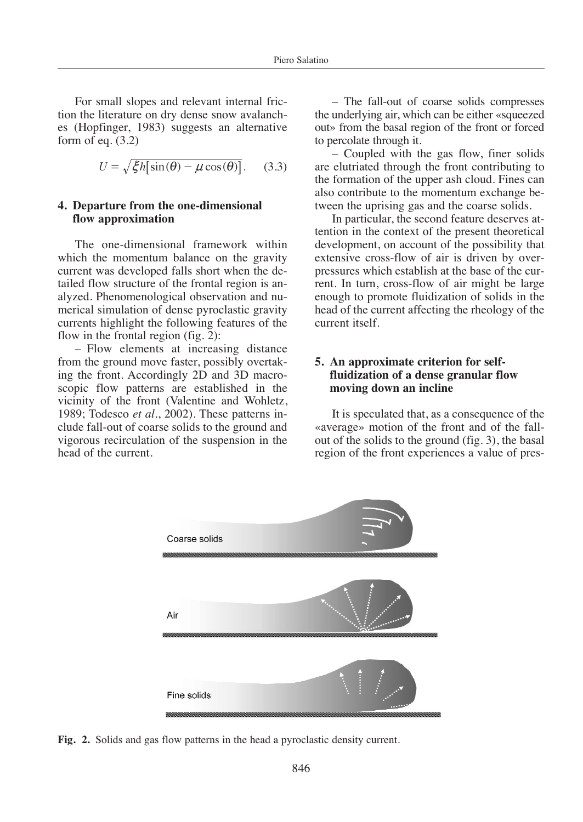For small slopes and relevant internal friction the literature on dry dense snow avalanches (Hopfinger, 1983) suggests an alternative form of eq.  $(3.2)$ *H* mail slopes and relevant interaiture on dry dense snow a finger, 1983) suggests an altaparties and  $U = \sqrt{\xi h[\sin(\theta) - \mu \cos(\theta)]}$ .

$$
U = \sqrt{\xi}h[\sin(\theta) - \mu\cos(\theta)].
$$
 (3.3)

## **4. Departure from the one-dimensional flow approximation**

The one-dimensional framework within which the momentum balance on the gravity current was developed falls short when the detailed flow structure of the frontal region is analyzed. Phenomenological observation and numerical simulation of dense pyroclastic gravity currents highlight the following features of the flow in the frontal region (fig. 2):

– Flow elements at increasing distance from the ground move faster, possibly overtaking the front. Accordingly 2D and 3D macroscopic flow patterns are established in the vicinity of the front (Valentine and Wohletz, 1989; Todesco *et al.*, 2002). These patterns include fall-out of coarse solids to the ground and vigorous recirculation of the suspension in the head of the current.

– The fall-out of coarse solids compresses the underlying air, which can be either «squeezed out» from the basal region of the front or forced to percolate through it.

– Coupled with the gas flow, finer solids are elutriated through the front contributing to the formation of the upper ash cloud. Fines can also contribute to the momentum exchange between the uprising gas and the coarse solids.

In particular, the second feature deserves attention in the context of the present theoretical development, on account of the possibility that extensive cross-flow of air is driven by overpressures which establish at the base of the current. In turn, cross-flow of air might be large enough to promote fluidization of solids in the head of the current affecting the rheology of the current itself.

## **5. An approximate criterion for selffluidization of a dense granular flow moving down an incline**

It is speculated that, as a consequence of the «average» motion of the front and of the fallout of the solids to the ground (fig. 3), the basal region of the front experiences a value of pres-



**Fig. 2.** Solids and gas flow patterns in the head a pyroclastic density current.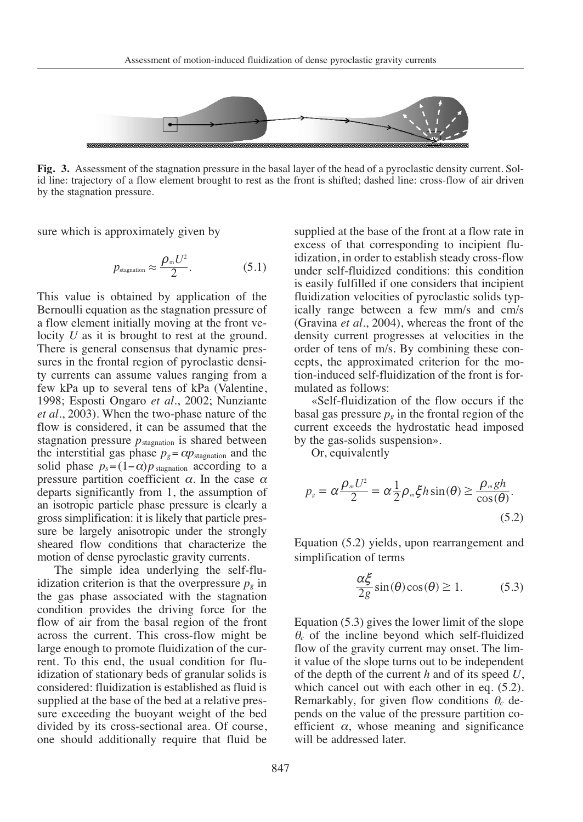

**Fig. 3.** Assessment of the stagnation pressure in the basal layer of the head of a pyroclastic density current. Solid line: trajectory of a flow element brought to rest as the front is shifted; dashed line: cross-flow of air driven by the stagnation pressure.

sure which is approximately given by

$$
p_{\text{stagnation}} \approx \frac{\rho_{\text{m}} U^2}{2}.
$$
 (5.1)

This value is obtained by application of the Bernoulli equation as the stagnation pressure of a flow element initially moving at the front velocity *U* as it is brought to rest at the ground. There is general consensus that dynamic pressures in the frontal region of pyroclastic density currents can assume values ranging from a few kPa up to several tens of kPa (Valentine, 1998; Esposti Ongaro *et al.*, 2002; Nunziante *et al.*, 2003). When the two-phase nature of the flow is considered, it can be assumed that the stagnation pressure  $p_{\text{stagnation}}$  is shared between the interstitial gas phase  $p_g = \alpha p_{\text{stagnation}}$  and the solid phase  $p_s = (1-\alpha)p_{\text{stagnation}}$  according to a pressure partition coefficient  $\alpha$ . In the case  $\alpha$ departs significantly from 1, the assumption of an isotropic particle phase pressure is clearly a gross simplification: it is likely that particle pressure be largely anisotropic under the strongly sheared flow conditions that characterize the motion of dense pyroclastic gravity currents.

The simple idea underlying the self-fluidization criterion is that the overpressure  $p<sub>g</sub>$  in the gas phase associated with the stagnation condition provides the driving force for the flow of air from the basal region of the front across the current. This cross-flow might be large enough to promote fluidization of the current. To this end, the usual condition for fluidization of stationary beds of granular solids is considered: fluidization is established as fluid is supplied at the base of the bed at a relative pressure exceeding the buoyant weight of the bed divided by its cross-sectional area. Of course, one should additionally require that fluid be supplied at the base of the front at a flow rate in excess of that corresponding to incipient fluidization, in order to establish steady cross-flow under self-fluidized conditions: this condition is easily fulfilled if one considers that incipient fluidization velocities of pyroclastic solids typically range between a few mm/s and cm/s (Gravina *et al.*, 2004), whereas the front of the density current progresses at velocities in the order of tens of m/s. By combining these concepts, the approximated criterion for the motion-induced self-fluidization of the front is formulated as follows: sin cos () () . 2*g* \$ 1 ap i i ( ) ( ) sin cos *p U h gh* Example 18 and the properties of m/s.<br>
upproximate delf-fluid<br>
delf-fluid<br>
discussion<br>
delf subsides used<br>
valently<br>  $\frac{nU^2}{2} = \alpha \frac{1}{2}$ <br>
(.2) yields. ity current progresses at velocities in<br>  $\cdot$  of tens of m/s. By combining these  $\cdot$ <br>  $\cdot$ , the approximated criterion for the<br>
induced self-fluidization of the front is<br>
ted as follows:<br>
Self-fluidization of the flow oc

«Self-fluidization of the flow occurs if the basal gas pressure  $p<sub>g</sub>$  in the frontal region of the current exceeds the hydrostatic head imposed by the gas-solids suspension».

Or, equivalently

$$
p_s = \alpha \frac{\rho_m U^2}{2} = \alpha \frac{1}{2} \rho_m \xi h \sin(\theta) \ge \frac{\rho_m gh}{\cos(\theta)}.
$$
\n(5.2)

Equation (5.2) yields, upon rearrangement and simplification of terms

$$
\frac{\alpha \xi}{2g} \sin(\theta) \cos(\theta) \ge 1. \tag{5.3}
$$

Equation (5.3) gives the lower limit of the slope <sup>θ</sup>*<sup>c</sup>* of the incline beyond which self-fluidized flow of the gravity current may onset. The limit value of the slope turns out to be independent of the depth of the current *h* and of its speed *U*, which cancel out with each other in eq.  $(5.2)$ . Remarkably, for given flow conditions <sup>θ</sup>*<sup>c</sup>* depends on the value of the pressure partition coefficient  $\alpha$ , whose meaning and significance will be addressed later.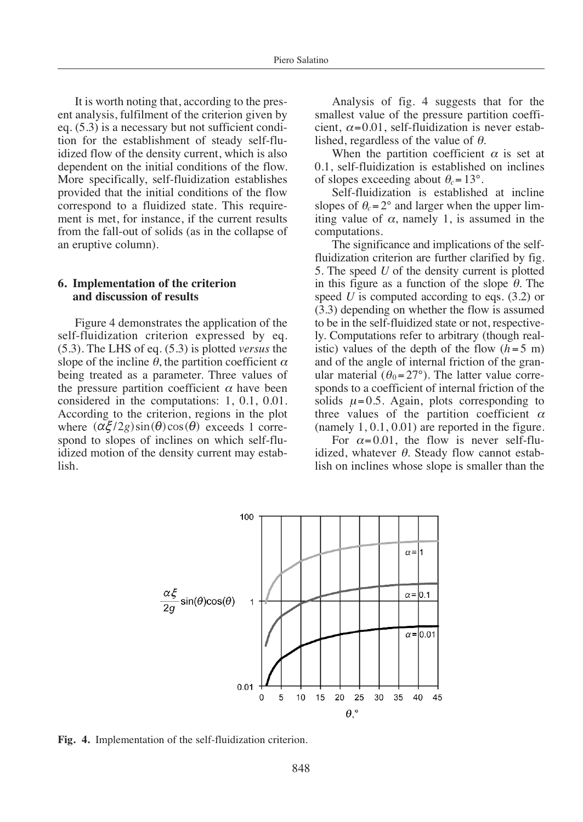It is worth noting that, according to the present analysis, fulfilment of the criterion given by eq. (5.3) is a necessary but not sufficient condition for the establishment of steady self-fluidized flow of the density current, which is also dependent on the initial conditions of the flow. More specifically, self-fluidization establishes provided that the initial conditions of the flow correspond to a fluidized state. This requirement is met, for instance, if the current results from the fall-out of solids (as in the collapse of an eruptive column).

#### **6. Implementation of the criterion and discussion of results**

Figure 4 demonstrates the application of the self-fluidization criterion expressed by eq. (5.3). The LHS of eq. (5.3) is plotted *versus* the slope of the incline  $\theta$ , the partition coefficient  $\alpha$ being treated as a parameter. Three values of the pressure partition coefficient  $\alpha$  have been considered in the computations: 1, 0.1, 0.01. According to the criterion, regions in the plot where  $(\alpha \xi/2g) \sin(\theta) \cos(\theta)$  exceeds 1 correspond to slopes of inclines on which self-fluidized motion of the density current may establish. he LHS of eq. (5.3) is<br>f the incline  $\theta$ , the part<br>reated as a parameter<br>ssure partition coeffic<br>red in the computati<br>ing to the criterion, r<br> $(\alpha \xi/2g) \sin(\theta) \cos(\theta)$ <br>to slopes of inclines (notion of the density *c* 

Analysis of fig. 4 suggests that for the smallest value of the pressure partition coefficient,  $\alpha = 0.01$ , self-fluidization is never established, regardless of the value of  $\theta$ .

When the partition coefficient  $\alpha$  is set at 0.1, self-fluidization is established on inclines of slopes exceeding about  $\theta_c = 13^\circ$ .

Self-fluidization is established at incline slopes of  $\theta_c = 2^\circ$  and larger when the upper limiting value of  $\alpha$ , namely 1, is assumed in the computations.

The significance and implications of the selffluidization criterion are further clarified by fig. 5. The speed *U* of the density current is plotted in this figure as a function of the slope  $\theta$ . The speed *U* is computed according to eqs. (3.2) or (3.3) depending on whether the flow is assumed to be in the self-fluidized state or not, respectively. Computations refer to arbitrary (though realistic) values of the depth of the flow  $(h=5 \text{ m})$ and of the angle of internal friction of the granular material ( $\theta_0 = 27$ °). The latter value corresponds to a coefficient of internal friction of the solids  $\mu = 0.5$ . Again, plots corresponding to three values of the partition coefficient  $\alpha$ (namely 1, 0.1, 0.01) are reported in the figure.

For  $\alpha = 0.01$ , the flow is never self-fluidized, whatever  $\theta$ . Steady flow cannot establish on inclines whose slope is smaller than the



**Fig. 4.** Implementation of the self-fluidization criterion.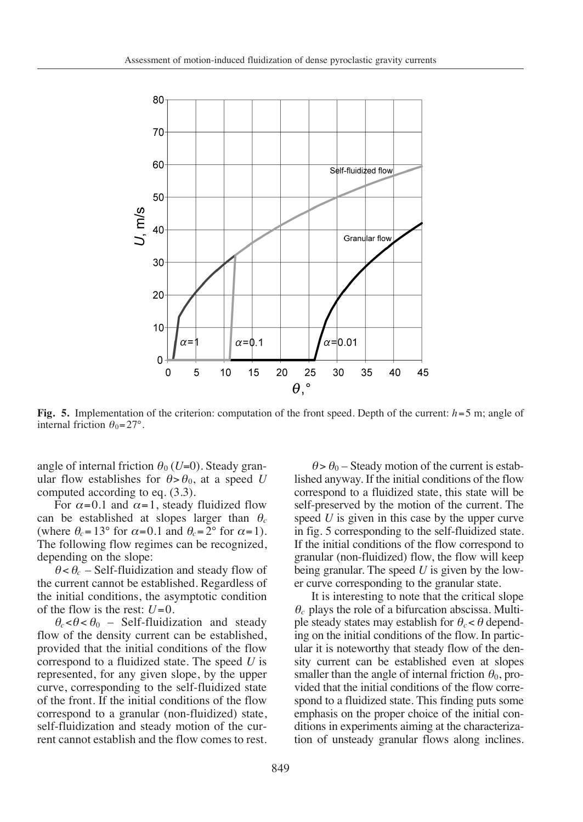

**Fig. 5.** Implementation of the criterion: computation of the front speed. Depth of the current:  $h=5$  m; angle of internal friction  $\theta_0 = 27$ °.

angle of internal friction  $\theta_0$  (*U*=0). Steady granular flow establishes for  $\theta > \theta_0$ , at a speed *U* computed according to eq. (3.3).

For  $\alpha$ =0.1 and  $\alpha$ =1, steady fluidized flow can be established at slopes larger than <sup>θ</sup>*<sup>c</sup>* (where  $\theta_c = 13^\circ$  for  $\alpha = 0.1$  and  $\theta_c = 2^\circ$  for  $\alpha = 1$ ). The following flow regimes can be recognized, depending on the slope:

 $\theta < \theta_c$  – Self-fluidization and steady flow of the current cannot be established. Regardless of the initial conditions, the asymptotic condition of the flow is the rest:  $U=0$ .

 $\theta_c < \theta < \theta_0$  – Self-fluidization and steady flow of the density current can be established, provided that the initial conditions of the flow correspond to a fluidized state. The speed *U* is represented, for any given slope, by the upper curve, corresponding to the self-fluidized state of the front. If the initial conditions of the flow correspond to a granular (non-fluidized) state, self-fluidization and steady motion of the current cannot establish and the flow comes to rest.

 $\theta > \theta_0$  – Steady motion of the current is established anyway. If the initial conditions of the flow correspond to a fluidized state, this state will be self-preserved by the motion of the current. The speed *U* is given in this case by the upper curve in fig. 5 corresponding to the self-fluidized state. If the initial conditions of the flow correspond to granular (non-fluidized) flow, the flow will keep being granular. The speed *U* is given by the lower curve corresponding to the granular state.

It is interesting to note that the critical slope  $\theta_c$  plays the role of a bifurcation abscissa. Multiple steady states may establish for  $\theta_c < \theta$  depending on the initial conditions of the flow. In particular it is noteworthy that steady flow of the density current can be established even at slopes smaller than the angle of internal friction  $\theta_0$ , provided that the initial conditions of the flow correspond to a fluidized state. This finding puts some emphasis on the proper choice of the initial conditions in experiments aiming at the characterization of unsteady granular flows along inclines.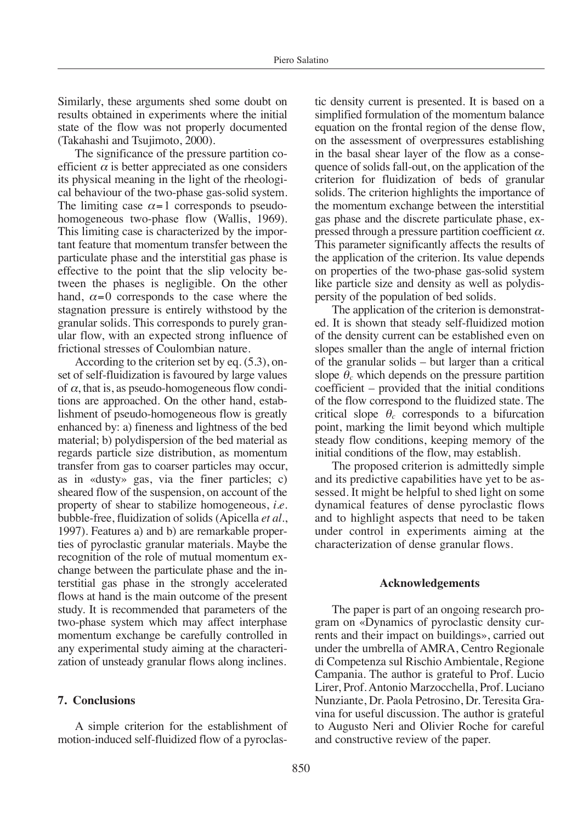Similarly, these arguments shed some doubt on results obtained in experiments where the initial state of the flow was not properly documented (Takahashi and Tsujimoto, 2000).

The significance of the pressure partition coefficient  $\alpha$  is better appreciated as one considers its physical meaning in the light of the rheological behaviour of the two-phase gas-solid system. The limiting case  $\alpha = 1$  corresponds to pseudohomogeneous two-phase flow (Wallis, 1969). This limiting case is characterized by the important feature that momentum transfer between the particulate phase and the interstitial gas phase is effective to the point that the slip velocity between the phases is negligible. On the other hand,  $\alpha = 0$  corresponds to the case where the stagnation pressure is entirely withstood by the granular solids. This corresponds to purely granular flow, with an expected strong influence of frictional stresses of Coulombian nature.

According to the criterion set by eq. (5.3), onset of self-fluidization is favoured by large values of  $\alpha$ , that is, as pseudo-homogeneous flow conditions are approached. On the other hand, establishment of pseudo-homogeneous flow is greatly enhanced by: a) fineness and lightness of the bed material; b) polydispersion of the bed material as regards particle size distribution, as momentum transfer from gas to coarser particles may occur, as in «dusty» gas, via the finer particles; c) sheared flow of the suspension, on account of the property of shear to stabilize homogeneous, *i.e.* bubble-free, fluidization of solids (Apicella *et al.*, 1997). Features a) and b) are remarkable properties of pyroclastic granular materials. Maybe the recognition of the role of mutual momentum exchange between the particulate phase and the interstitial gas phase in the strongly accelerated flows at hand is the main outcome of the present study. It is recommended that parameters of the two-phase system which may affect interphase momentum exchange be carefully controlled in any experimental study aiming at the characterization of unsteady granular flows along inclines.

#### **7. Conclusions**

A simple criterion for the establishment of motion-induced self-fluidized flow of a pyroclastic density current is presented. It is based on a simplified formulation of the momentum balance equation on the frontal region of the dense flow, on the assessment of overpressures establishing in the basal shear layer of the flow as a consequence of solids fall-out, on the application of the criterion for fluidization of beds of granular solids. The criterion highlights the importance of the momentum exchange between the interstitial gas phase and the discrete particulate phase, expressed through a pressure partition coefficient  $\alpha$ . This parameter significantly affects the results of the application of the criterion. Its value depends on properties of the two-phase gas-solid system like particle size and density as well as polydispersity of the population of bed solids.

The application of the criterion is demonstrated. It is shown that steady self-fluidized motion of the density current can be established even on slopes smaller than the angle of internal friction of the granular solids – but larger than a critical slope  $\theta_c$  which depends on the pressure partition coefficient – provided that the initial conditions of the flow correspond to the fluidized state. The critical slope  $\theta_c$  corresponds to a bifurcation point, marking the limit beyond which multiple steady flow conditions, keeping memory of the initial conditions of the flow, may establish.

The proposed criterion is admittedly simple and its predictive capabilities have yet to be assessed. It might be helpful to shed light on some dynamical features of dense pyroclastic flows and to highlight aspects that need to be taken under control in experiments aiming at the characterization of dense granular flows.

#### **Acknowledgements**

The paper is part of an ongoing research program on «Dynamics of pyroclastic density currents and their impact on buildings», carried out under the umbrella of AMRA, Centro Regionale di Competenza sul Rischio Ambientale, Regione Campania. The author is grateful to Prof. Lucio Lirer, Prof. Antonio Marzocchella, Prof. Luciano Nunziante, Dr. Paola Petrosino, Dr. Teresita Gravina for useful discussion. The author is grateful to Augusto Neri and Olivier Roche for careful and constructive review of the paper.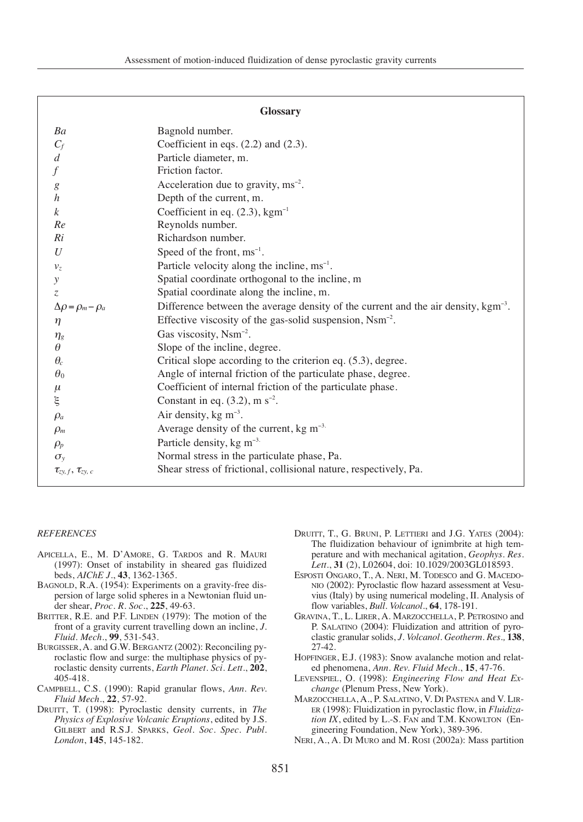| <b>Glossary</b>                 |                                                                                                |
|---------------------------------|------------------------------------------------------------------------------------------------|
| Ba                              | Bagnold number.                                                                                |
| $C_f$                           | Coefficient in eqs. $(2.2)$ and $(2.3)$ .                                                      |
| $\boldsymbol{d}$                | Particle diameter, m.                                                                          |
| $\overline{f}$                  | Friction factor.                                                                               |
| $\boldsymbol{g}$                | Acceleration due to gravity, $\text{ms}^{-2}$ .                                                |
| $\boldsymbol{h}$                | Depth of the current, m.                                                                       |
| $\boldsymbol{k}$                | Coefficient in eq. $(2.3)$ , kgm <sup>-1</sup>                                                 |
| Re                              | Reynolds number.                                                                               |
| Ri                              | Richardson number.                                                                             |
| U                               | Speed of the front, $ms^{-1}$ .                                                                |
| v <sub>z</sub>                  | Particle velocity along the incline, $ms^{-1}$ .                                               |
| $\mathcal{Y}$                   | Spatial coordinate orthogonal to the incline, m                                                |
| $\overline{z}$                  | Spatial coordinate along the incline, m.                                                       |
| $\Delta \rho = \rho_m - \rho_a$ | Difference between the average density of the current and the air density, kgm <sup>-3</sup> . |
| η                               | Effective viscosity of the gas-solid suspension, Nsm <sup>-2</sup> .                           |
| $\eta_{g}$                      | Gas viscosity, Nsm <sup>-2</sup> .                                                             |
| $\theta$                        | Slope of the incline, degree.                                                                  |
| $\theta_c$                      | Critical slope according to the criterion eq. (5.3), degree.                                   |
| $\theta_0$                      | Angle of internal friction of the particulate phase, degree.                                   |
| $\mu$                           | Coefficient of internal friction of the particulate phase.                                     |
| ξ                               | Constant in eq. $(3.2)$ , m s <sup>-2</sup> .                                                  |
| $\rho_a$                        | Air density, kg $m^{-3}$ .                                                                     |
| $\rho_m$                        | Average density of the current, $kg \, \text{m}^{-3}$ .                                        |
| $\rho_p$                        | Particle density, kg m <sup>-3.</sup>                                                          |
| $\sigma_{v}$                    | Normal stress in the particulate phase, Pa.                                                    |
| $\tau_{zy, f}, \tau_{zy, c}$    | Shear stress of frictional, collisional nature, respectively, Pa.                              |

#### *REFERENCES*

- APICELLA, E., M. D'AMORE, G. TARDOS and R. MAURI (1997): Onset of instability in sheared gas fluidized beds, *AIChE J.*, **43**, 1362-1365.
- BAGNOLD, R.A. (1954): Experiments on a gravity-free dispersion of large solid spheres in a Newtonian fluid under shear, *Proc. R. Soc.*, **225**, 49-63.
- BRITTER, R.E. and P.F. LINDEN (1979): The motion of the front of a gravity current travelling down an incline, *J. Fluid. Mech.*, **99**, 531-543.
- BURGISSER, A. and G.W. BERGANTZ (2002): Reconciling pyroclastic flow and surge: the multiphase physics of pyroclastic density currents, *Earth Planet. Sci. Lett.*, **202**, 405-418.
- CAMPBELL, C.S. (1990): Rapid granular flows, *Ann. Rev. Fluid Mech.*, **22**, 57-92.
- DRUITT, T. (1998): Pyroclastic density currents, in *The Physics of Explosive Volcanic Eruptions*, edited by J.S. GILBERT and R.S.J. SPARKS, *Geol. Soc. Spec. Publ. London*, **145**, 145-182.
- DRUITT, T., G. BRUNI, P. LETTIERI and J.G. YATES (2004): The fluidization behaviour of ignimbrite at high temperature and with mechanical agitation, *Geophys. Res. Lett.*, **31** (2), L02604, doi: 10.1029/2003GL018593.
- ESPOSTI ONGARO, T., A. NERI, M. TODESCO and G. MACEDO-NIO (2002): Pyroclastic flow hazard assessment at Vesuvius (Italy) by using numerical modeling, II. Analysis of flow variables, *Bull. Volcanol.*, **64**, 178-191.
- GRAVINA, T., L. LIRER, A. MARZOCCHELLA, P. PETROSINO and P. SALATINO (2004): Fluidization and attrition of pyroclastic granular solids, *J. Volcanol. Geotherm. Res.,* **138**, 27-42.
- HOPFINGER, E.J. (1983): Snow avalanche motion and related phenomena, *Ann. Rev. Fluid Mech.*, **15**, 47-76.
- LEVENSPIEL, O. (1998): *Engineering Flow and Heat Exchange* (Plenum Press, New York).
- MARZOCCHELLA, A., P. SALATINO, V. DI PASTENA and V. LIR-ER (1998): Fluidization in pyroclastic flow, in *Fluidization IX*, edited by L.-S. FAN and T.M. KNOWLTON (Engineering Foundation, New York), 389-396.
- NERI, A., A. DI MURO and M. ROSI (2002a): Mass partition